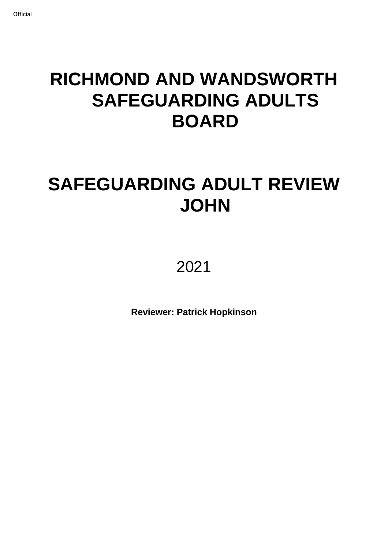# **RICHMOND AND WANDSWORTH SAFEGUARDING ADULTS BOARD**

# **SAFEGUARDING ADULT REVIEW JOHN**

2021

**Reviewer: Patrick Hopkinson**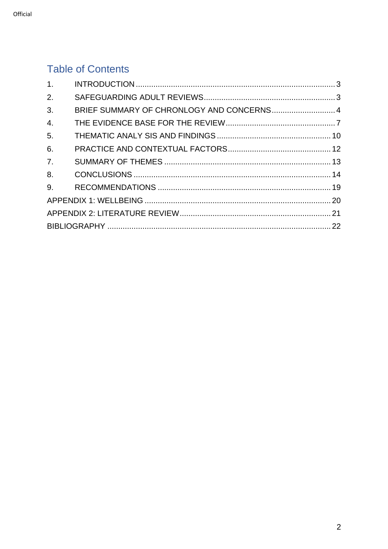# **Table of Contents**

| 1.             |                                           |  |
|----------------|-------------------------------------------|--|
| 2.             |                                           |  |
| 3.             | BRIEF SUMMARY OF CHRONLOGY AND CONCERNS 4 |  |
| 4.             |                                           |  |
| 5.             |                                           |  |
| 6.             |                                           |  |
| 7 <sub>1</sub> |                                           |  |
| 8.             |                                           |  |
|                |                                           |  |
|                |                                           |  |
|                |                                           |  |
|                |                                           |  |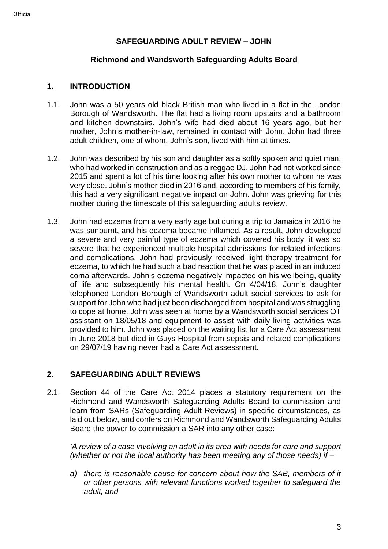# **SAFEGUARDING ADULT REVIEW – JOHN**

#### **Richmond and Wandsworth Safeguarding Adults Board**

#### <span id="page-2-0"></span>**1. INTRODUCTION**

- 1.1. John was a 50 years old black British man who lived in a flat in the London Borough of Wandsworth. The flat had a living room upstairs and a bathroom and kitchen downstairs. John's wife had died about 16 years ago, but her mother, John's mother-in-law, remained in contact with John. John had three adult children, one of whom, John's son, lived with him at times.
- 1.2. John was described by his son and daughter as a softly spoken and quiet man, who had worked in construction and as a reggae DJ. John had not worked since 2015 and spent a lot of his time looking after his own mother to whom he was very close. John's mother died in 2016 and, according to members of his family, this had a very significant negative impact on John. John was grieving for this mother during the timescale of this safeguarding adults review.
- 1.3. John had eczema from a very early age but during a trip to Jamaica in 2016 he was sunburnt, and his eczema became inflamed. As a result, John developed a severe and very painful type of eczema which covered his body, it was so severe that he experienced multiple hospital admissions for related infections and complications. John had previously received light therapy treatment for eczema, to which he had such a bad reaction that he was placed in an induced coma afterwards. John's eczema negatively impacted on his wellbeing, quality of life and subsequently his mental health. On 4/04/18, John's daughter telephoned London Borough of Wandsworth adult social services to ask for support for John who had just been discharged from hospital and was struggling to cope at home. John was seen at home by a Wandsworth social services OT assistant on 18/05/18 and equipment to assist with daily living activities was provided to him. John was placed on the waiting list for a Care Act assessment in June 2018 but died in Guys Hospital from sepsis and related complications on 29/07/19 having never had a Care Act assessment.

# <span id="page-2-1"></span>**2. SAFEGUARDING ADULT REVIEWS**

2.1. Section 44 of the Care Act 2014 places a statutory requirement on the Richmond and Wandsworth Safeguarding Adults Board to commission and learn from SARs (Safeguarding Adult Reviews) in specific circumstances, as laid out below, and confers on Richmond and Wandsworth Safeguarding Adults Board the power to commission a SAR into any other case:

*'A review of a case involving an adult in its area with needs for care and support (whether or not the local authority has been meeting any of those needs) if –*

*a) there is reasonable cause for concern about how the SAB, members of it or other persons with relevant functions worked together to safeguard the adult, and*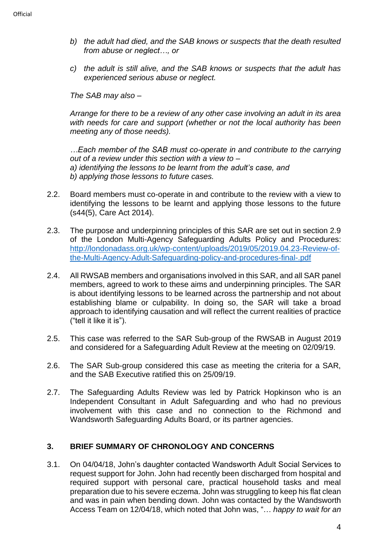- *b) the adult had died, and the SAB knows or suspects that the death resulted from abuse or neglect…, or*
- *c) the adult is still alive, and the SAB knows or suspects that the adult has experienced serious abuse or neglect.*

*The SAB may also –*

*Arrange for there to be a review of any other case involving an adult in its area with needs for care and support (whether or not the local authority has been meeting any of those needs).*

*…Each member of the SAB must co-operate in and contribute to the carrying out of a review under this section with a view to – a) identifying the lessons to be learnt from the adult's case, and b) applying those lessons to future cases.*

- 2.2. Board members must co-operate in and contribute to the review with a view to identifying the lessons to be learnt and applying those lessons to the future (s44(5), Care Act 2014).
- 2.3. The purpose and underpinning principles of this SAR are set out in section 2.9 of the London Multi-Agency Safeguarding Adults Policy and Procedures: [http://londonadass.org.uk/wp-content/uploads/2019/05/2019.04.23-Review-of](http://londonadass.org.uk/wp-content/uploads/2019/05/2019.04.23-Review-of-the-Multi-Agency-Adult-Safeguarding-policy-and-procedures-final-.pdf)[the-Multi-Agency-Adult-Safeguarding-policy-and-procedures-final-.pdf](http://londonadass.org.uk/wp-content/uploads/2019/05/2019.04.23-Review-of-the-Multi-Agency-Adult-Safeguarding-policy-and-procedures-final-.pdf)
- 2.4. All RWSAB members and organisations involved in this SAR, and all SAR panel members, agreed to work to these aims and underpinning principles. The SAR is about identifying lessons to be learned across the partnership and not about establishing blame or culpability. In doing so, the SAR will take a broad approach to identifying causation and will reflect the current realities of practice ("tell it like it is").
- 2.5. This case was referred to the SAR Sub-group of the RWSAB in August 2019 and considered for a Safeguarding Adult Review at the meeting on 02/09/19.
- 2.6. The SAR Sub-group considered this case as meeting the criteria for a SAR, and the SAB Executive ratified this on 25/09/19.
- 2.7. The Safeguarding Adults Review was led by Patrick Hopkinson who is an Independent Consultant in Adult Safeguarding and who had no previous involvement with this case and no connection to the Richmond and Wandsworth Safeguarding Adults Board, or its partner agencies.

# <span id="page-3-0"></span>**3. BRIEF SUMMARY OF CHRONOLOGY AND CONCERNS**

3.1. On 04/04/18, John's daughter contacted Wandsworth Adult Social Services to request support for John. John had recently been discharged from hospital and required support with personal care, practical household tasks and meal preparation due to his severe eczema. John was struggling to keep his flat clean and was in pain when bending down. John was contacted by the Wandsworth Access Team on 12/04/18, which noted that John was, "… *happy to wait for an*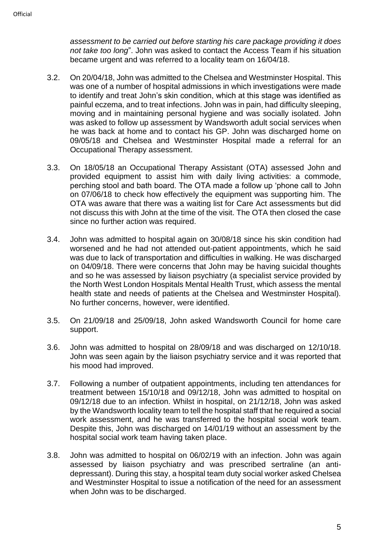*assessment to be carried out before starting his care package providing it does not take too long*". John was asked to contact the Access Team if his situation became urgent and was referred to a locality team on 16/04/18.

- 3.2. On 20/04/18, John was admitted to the Chelsea and Westminster Hospital. This was one of a number of hospital admissions in which investigations were made to identify and treat John's skin condition, which at this stage was identified as painful eczema, and to treat infections. John was in pain, had difficulty sleeping, moving and in maintaining personal hygiene and was socially isolated. John was asked to follow up assessment by Wandsworth adult social services when he was back at home and to contact his GP. John was discharged home on 09/05/18 and Chelsea and Westminster Hospital made a referral for an Occupational Therapy assessment.
- 3.3. On 18/05/18 an Occupational Therapy Assistant (OTA) assessed John and provided equipment to assist him with daily living activities: a commode, perching stool and bath board. The OTA made a follow up 'phone call to John on 07/06/18 to check how effectively the equipment was supporting him. The OTA was aware that there was a waiting list for Care Act assessments but did not discuss this with John at the time of the visit. The OTA then closed the case since no further action was required.
- 3.4. John was admitted to hospital again on 30/08/18 since his skin condition had worsened and he had not attended out-patient appointments, which he said was due to lack of transportation and difficulties in walking. He was discharged on 04/09/18. There were concerns that John may be having suicidal thoughts and so he was assessed by liaison psychiatry (a specialist service provided by the North West London Hospitals Mental Health Trust, which assess the mental health state and needs of patients at the Chelsea and Westminster Hospital). No further concerns, however, were identified.
- 3.5. On 21/09/18 and 25/09/18, John asked Wandsworth Council for home care support.
- 3.6. John was admitted to hospital on 28/09/18 and was discharged on 12/10/18. John was seen again by the liaison psychiatry service and it was reported that his mood had improved.
- 3.7. Following a number of outpatient appointments, including ten attendances for treatment between 15/10/18 and 09/12/18, John was admitted to hospital on 09/12/18 due to an infection. Whilst in hospital, on 21/12/18, John was asked by the Wandsworth locality team to tell the hospital staff that he required a social work assessment, and he was transferred to the hospital social work team. Despite this, John was discharged on 14/01/19 without an assessment by the hospital social work team having taken place.
- 3.8. John was admitted to hospital on 06/02/19 with an infection. John was again assessed by liaison psychiatry and was prescribed sertraline (an antidepressant). During this stay, a hospital team duty social worker asked Chelsea and Westminster Hospital to issue a notification of the need for an assessment when John was to be discharged.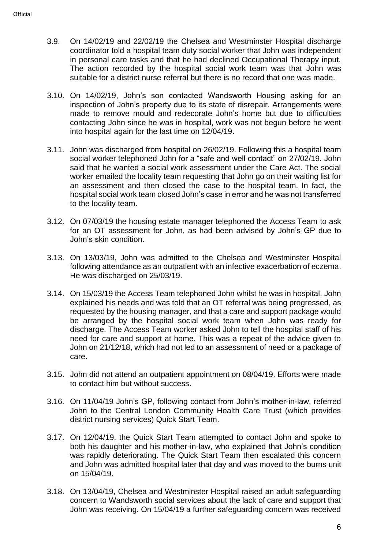- 3.9. On 14/02/19 and 22/02/19 the Chelsea and Westminster Hospital discharge coordinator told a hospital team duty social worker that John was independent in personal care tasks and that he had declined Occupational Therapy input. The action recorded by the hospital social work team was that John was suitable for a district nurse referral but there is no record that one was made.
- 3.10. On 14/02/19, John's son contacted Wandsworth Housing asking for an inspection of John's property due to its state of disrepair. Arrangements were made to remove mould and redecorate John's home but due to difficulties contacting John since he was in hospital, work was not begun before he went into hospital again for the last time on 12/04/19.
- 3.11. John was discharged from hospital on 26/02/19. Following this a hospital team social worker telephoned John for a "safe and well contact" on 27/02/19. John said that he wanted a social work assessment under the Care Act. The social worker emailed the locality team requesting that John go on their waiting list for an assessment and then closed the case to the hospital team. In fact, the hospital social work team closed John's case in error and he was not transferred to the locality team.
- 3.12. On 07/03/19 the housing estate manager telephoned the Access Team to ask for an OT assessment for John, as had been advised by John's GP due to John's skin condition.
- 3.13. On 13/03/19, John was admitted to the Chelsea and Westminster Hospital following attendance as an outpatient with an infective exacerbation of eczema. He was discharged on 25/03/19.
- 3.14. On 15/03/19 the Access Team telephoned John whilst he was in hospital. John explained his needs and was told that an OT referral was being progressed, as requested by the housing manager, and that a care and support package would be arranged by the hospital social work team when John was ready for discharge. The Access Team worker asked John to tell the hospital staff of his need for care and support at home. This was a repeat of the advice given to John on 21/12/18, which had not led to an assessment of need or a package of care.
- 3.15. John did not attend an outpatient appointment on 08/04/19. Efforts were made to contact him but without success.
- 3.16. On 11/04/19 John's GP, following contact from John's mother-in-law, referred John to the Central London Community Health Care Trust (which provides district nursing services) Quick Start Team.
- 3.17. On 12/04/19, the Quick Start Team attempted to contact John and spoke to both his daughter and his mother-in-law, who explained that John's condition was rapidly deteriorating. The Quick Start Team then escalated this concern and John was admitted hospital later that day and was moved to the burns unit on 15/04/19.
- 3.18. On 13/04/19, Chelsea and Westminster Hospital raised an adult safeguarding concern to Wandsworth social services about the lack of care and support that John was receiving. On 15/04/19 a further safeguarding concern was received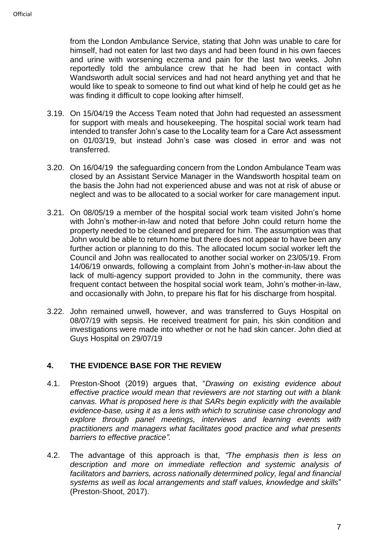from the London Ambulance Service, stating that John was unable to care for himself, had not eaten for last two days and had been found in his own faeces and urine with worsening eczema and pain for the last two weeks. John reportedly told the ambulance crew that he had been in contact with Wandsworth adult social services and had not heard anything yet and that he would like to speak to someone to find out what kind of help he could get as he was finding it difficult to cope looking after himself.

- 3.19. On 15/04/19 the Access Team noted that John had requested an assessment for support with meals and housekeeping. The hospital social work team had intended to transfer John's case to the Locality team for a Care Act assessment on 01/03/19, but instead John's case was closed in error and was not transferred.
- 3.20. On 16/04/19 the safeguarding concern from the London Ambulance Team was closed by an Assistant Service Manager in the Wandsworth hospital team on the basis the John had not experienced abuse and was not at risk of abuse or neglect and was to be allocated to a social worker for care management input.
- 3.21. On 08/05/19 a member of the hospital social work team visited John's home with John's mother-in-law and noted that before John could return home the property needed to be cleaned and prepared for him. The assumption was that John would be able to return home but there does not appear to have been any further action or planning to do this. The allocated locum social worker left the Council and John was reallocated to another social worker on 23/05/19. From 14/06/19 onwards, following a complaint from John's mother-in-law about the lack of multi-agency support provided to John in the community, there was frequent contact between the hospital social work team, John's mother-in-law, and occasionally with John, to prepare his flat for his discharge from hospital.
- 3.22. John remained unwell, however, and was transferred to Guys Hospital on 08/07/19 with sepsis. He received treatment for pain, his skin condition and investigations were made into whether or not he had skin cancer. John died at Guys Hospital on 29/07/19

# <span id="page-6-0"></span>**4. THE EVIDENCE BASE FOR THE REVIEW**

- 4.1. Preston-Shoot (2019) argues that, "*Drawing on existing evidence about effective practice would mean that reviewers are not starting out with a blank canvas. What is proposed here is that SARs begin explicitly with the available evidence-base, using it as a lens with which to scrutinise case chronology and explore through panel meetings, interviews and learning events with practitioners and managers what facilitates good practice and what presents barriers to effective practice".*
- 4.2. The advantage of this approach is that, *"The emphasis then is less on description and more on immediate reflection and systemic analysis of facilitators and barriers, across nationally determined policy, legal and financial systems as well as local arrangements and staff values, knowledge and skills*" (Preston-Shoot, 2017).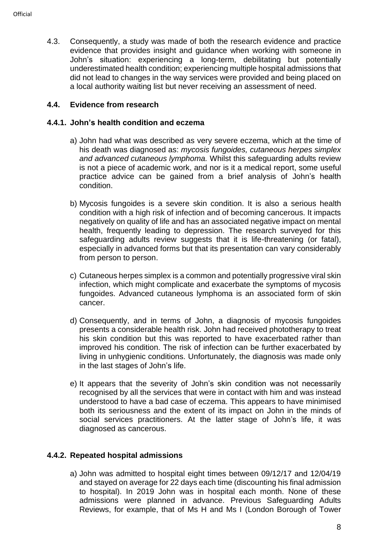4.3. Consequently, a study was made of both the research evidence and practice evidence that provides insight and guidance when working with someone in John's situation: experiencing a long-term, debilitating but potentially underestimated health condition; experiencing multiple hospital admissions that did not lead to changes in the way services were provided and being placed on a local authority waiting list but never receiving an assessment of need.

# **4.4. Evidence from research**

#### **4.4.1. John's health condition and eczema**

- a) John had what was described as very severe eczema, which at the time of his death was diagnosed as: *mycosis fungoides, cutaneous herpes simplex and advanced cutaneous lymphoma.* Whilst this safeguarding adults review is not a piece of academic work, and nor is it a medical report, some useful practice advice can be gained from a brief analysis of John's health condition.
- b) Mycosis fungoides is a severe skin condition. It is also a serious health condition with a high risk of infection and of becoming cancerous. It impacts negatively on quality of life and has an associated negative impact on mental health, frequently leading to depression. The research surveyed for this safeguarding adults review suggests that it is life-threatening (or fatal), especially in advanced forms but that its presentation can vary considerably from person to person.
- c) Cutaneous herpes simplex is a common and potentially progressive viral skin infection, which might complicate and exacerbate the symptoms of mycosis fungoides. Advanced cutaneous lymphoma is an associated form of skin cancer.
- d) Consequently, and in terms of John, a diagnosis of mycosis fungoides presents a considerable health risk. John had received phototherapy to treat his skin condition but this was reported to have exacerbated rather than improved his condition. The risk of infection can be further exacerbated by living in unhygienic conditions. Unfortunately, the diagnosis was made only in the last stages of John's life.
- e) It appears that the severity of John's skin condition was not necessarily recognised by all the services that were in contact with him and was instead understood to have a bad case of eczema. This appears to have minimised both its seriousness and the extent of its impact on John in the minds of social services practitioners. At the latter stage of John's life, it was diagnosed as cancerous.

#### **4.4.2. Repeated hospital admissions**

a) John was admitted to hospital eight times between 09/12/17 and 12/04/19 and stayed on average for 22 days each time (discounting his final admission to hospital). In 2019 John was in hospital each month. None of these admissions were planned in advance. Previous Safeguarding Adults Reviews, for example, that of Ms H and Ms I (London Borough of Tower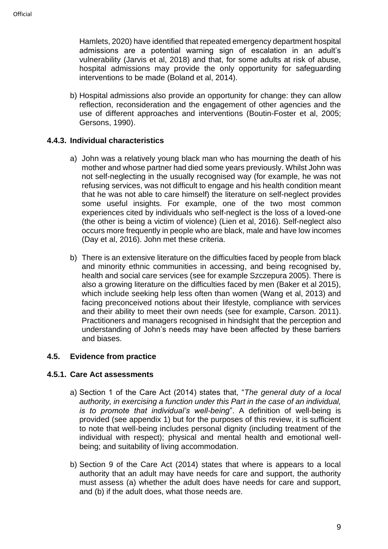Hamlets, 2020) have identified that repeated emergency department hospital admissions are a potential warning sign of escalation in an adult's vulnerability (Jarvis et al, 2018) and that, for some adults at risk of abuse, hospital admissions may provide the only opportunity for safeguarding interventions to be made (Boland et al, 2014).

b) Hospital admissions also provide an opportunity for change: they can allow reflection, reconsideration and the engagement of other agencies and the use of different approaches and interventions (Boutin-Foster et al, 2005; Gersons, 1990).

# **4.4.3. Individual characteristics**

- a) John was a relatively young black man who has mourning the death of his mother and whose partner had died some years previously. Whilst John was not self-neglecting in the usually recognised way (for example, he was not refusing services, was not difficult to engage and his health condition meant that he was not able to care himself) the literature on self-neglect provides some useful insights. For example, one of the two most common experiences cited by individuals who self-neglect is the loss of a loved-one (the other is being a victim of violence) (Lien et al, 2016). Self-neglect also occurs more frequently in people who are black, male and have low incomes (Day et al, 2016). John met these criteria.
- b) There is an extensive literature on the difficulties faced by people from black and minority ethnic communities in accessing, and being recognised by, health and social care services (see for example Szczepura 2005). There is also a growing literature on the difficulties faced by men (Baker et al 2015), which include seeking help less often than women (Wang et al, 2013) and facing preconceived notions about their lifestyle, compliance with services and their ability to meet their own needs (see for example, Carson. 2011). Practitioners and managers recognised in hindsight that the perception and understanding of John's needs may have been affected by these barriers and biases.

# **4.5. Evidence from practice**

#### **4.5.1. Care Act assessments**

- a) Section 1 of the Care Act (2014) states that, "*The general duty of a local authority, in exercising a function under this Part in the case of an individual, is to promote that individual's well-being*". A definition of well-being is provided (see appendix 1) but for the purposes of this review, it is sufficient to note that well-being includes personal dignity (including treatment of the individual with respect); physical and mental health and emotional wellbeing; and suitability of living accommodation.
- b) Section 9 of the Care Act (2014) states that where is appears to a local authority that an adult may have needs for care and support, the authority must assess (a) whether the adult does have needs for care and support, and (b) if the adult does, what those needs are.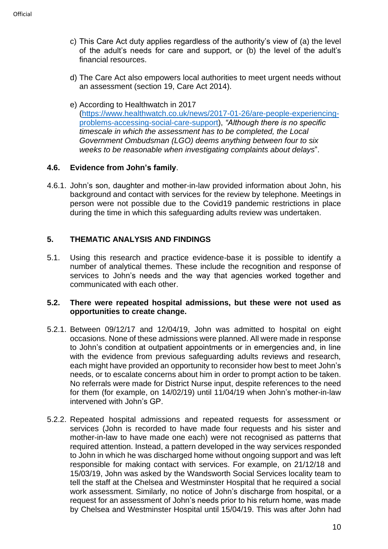- c) This Care Act duty applies regardless of the authority's view of (a) the level of the adult's needs for care and support, or (b) the level of the adult's financial resources.
- d) The Care Act also empowers local authorities to meet urgent needs without an assessment (section 19, Care Act 2014).
- e) According to Healthwatch in 2017 [\(https://www.healthwatch.co.uk/news/2017-01-26/are-people-experiencing](https://www.healthwatch.co.uk/news/2017-01-26/are-people-experiencing-problems-accessing-social-care-support)[problems-accessing-social-care-support\)](https://www.healthwatch.co.uk/news/2017-01-26/are-people-experiencing-problems-accessing-social-care-support), *"Although there is no specific timescale in which the assessment has to be completed, the Local Government Ombudsman (LGO) deems anything between four to six weeks to be reasonable when investigating complaints about delays*".

# **4.6. Evidence from John's family**.

4.6.1. John's son, daughter and mother-in-law provided information about John, his background and contact with services for the review by telephone. Meetings in person were not possible due to the Covid19 pandemic restrictions in place during the time in which this safeguarding adults review was undertaken.

# <span id="page-9-0"></span>**5. THEMATIC ANALYSIS AND FINDINGS**

5.1. Using this research and practice evidence-base it is possible to identify a number of analytical themes. These include the recognition and response of services to John's needs and the way that agencies worked together and communicated with each other.

#### **5.2. There were repeated hospital admissions, but these were not used as opportunities to create change.**

- 5.2.1. Between 09/12/17 and 12/04/19, John was admitted to hospital on eight occasions. None of these admissions were planned. All were made in response to John's condition at outpatient appointments or in emergencies and, in line with the evidence from previous safeguarding adults reviews and research, each might have provided an opportunity to reconsider how best to meet John's needs, or to escalate concerns about him in order to prompt action to be taken. No referrals were made for District Nurse input, despite references to the need for them (for example, on 14/02/19) until 11/04/19 when John's mother-in-law intervened with John's GP.
- 5.2.2. Repeated hospital admissions and repeated requests for assessment or services (John is recorded to have made four requests and his sister and mother-in-law to have made one each) were not recognised as patterns that required attention. Instead, a pattern developed in the way services responded to John in which he was discharged home without ongoing support and was left responsible for making contact with services. For example, on 21/12/18 and 15/03/19, John was asked by the Wandsworth Social Services locality team to tell the staff at the Chelsea and Westminster Hospital that he required a social work assessment. Similarly, no notice of John's discharge from hospital, or a request for an assessment of John's needs prior to his return home, was made by Chelsea and Westminster Hospital until 15/04/19. This was after John had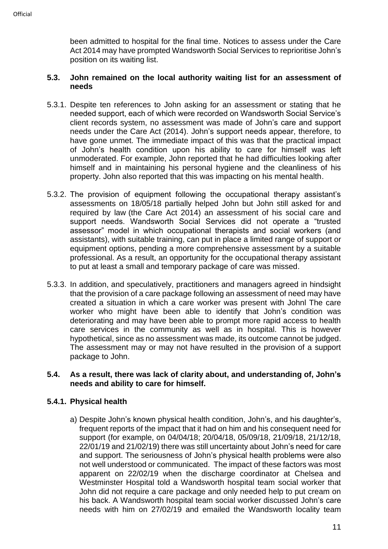been admitted to hospital for the final time. Notices to assess under the Care Act 2014 may have prompted Wandsworth Social Services to reprioritise John's position on its waiting list.

#### **5.3. John remained on the local authority waiting list for an assessment of needs**

- 5.3.1. Despite ten references to John asking for an assessment or stating that he needed support, each of which were recorded on Wandsworth Social Service's client records system, no assessment was made of John's care and support needs under the Care Act (2014). John's support needs appear, therefore, to have gone unmet. The immediate impact of this was that the practical impact of John's health condition upon his ability to care for himself was left unmoderated. For example, John reported that he had difficulties looking after himself and in maintaining his personal hygiene and the cleanliness of his property. John also reported that this was impacting on his mental health.
- 5.3.2. The provision of equipment following the occupational therapy assistant's assessments on 18/05/18 partially helped John but John still asked for and required by law (the Care Act 2014) an assessment of his social care and support needs. Wandsworth Social Services did not operate a "trusted assessor" model in which occupational therapists and social workers (and assistants), with suitable training, can put in place a limited range of support or equipment options, pending a more comprehensive assessment by a suitable professional. As a result, an opportunity for the occupational therapy assistant to put at least a small and temporary package of care was missed.
- 5.3.3. In addition, and speculatively, practitioners and managers agreed in hindsight that the provision of a care package following an assessment of need may have created a situation in which a care worker was present with Johnl The care worker who might have been able to identify that John's condition was deteriorating and may have been able to prompt more rapid access to health care services in the community as well as in hospital. This is however hypothetical, since as no assessment was made, its outcome cannot be judged. The assessment may or may not have resulted in the provision of a support package to John.

#### **5.4. As a result, there was lack of clarity about, and understanding of, John's needs and ability to care for himself.**

# **5.4.1. Physical health**

a) Despite John's known physical health condition, John's, and his daughter's, frequent reports of the impact that it had on him and his consequent need for support (for example, on 04/04/18; 20/04/18, 05/09/18, 21/09/18, 21/12/18, 22/01/19 and 21/02/19) there was still uncertainty about John's need for care and support. The seriousness of John's physical health problems were also not well understood or communicated. The impact of these factors was most apparent on 22/02/19 when the discharge coordinator at Chelsea and Westminster Hospital told a Wandsworth hospital team social worker that John did not require a care package and only needed help to put cream on his back. A Wandsworth hospital team social worker discussed John's care needs with him on 27/02/19 and emailed the Wandsworth locality team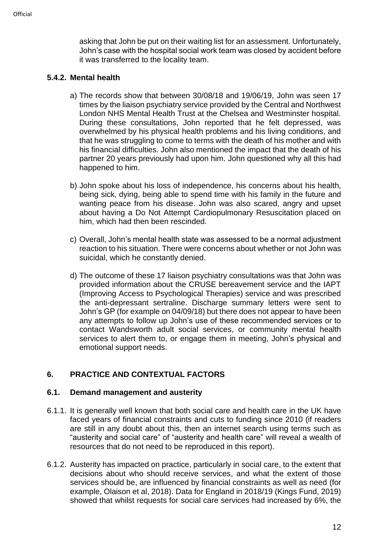asking that John be put on their waiting list for an assessment. Unfortunately, John's case with the hospital social work team was closed by accident before it was transferred to the locality team.

# **5.4.2. Mental health**

- a) The records show that between 30/08/18 and 19/06/19, John was seen 17 times by the liaison psychiatry service provided by the Central and Northwest London NHS Mental Health Trust at the Chelsea and Westminster hospital. During these consultations, John reported that he felt depressed, was overwhelmed by his physical health problems and his living conditions, and that he was struggling to come to terms with the death of his mother and with his financial difficulties. John also mentioned the impact that the death of his partner 20 years previously had upon him. John questioned why all this had happened to him.
- b) John spoke about his loss of independence, his concerns about his health, being sick, dying, being able to spend time with his family in the future and wanting peace from his disease. John was also scared, angry and upset about having a Do Not Attempt Cardiopulmonary Resuscitation placed on him, which had then been rescinded.
- c) Overall, John's mental health state was assessed to be a normal adjustment reaction to his situation. There were concerns about whether or not John was suicidal, which he constantly denied.
- d) The outcome of these 17 liaison psychiatry consultations was that John was provided information about the CRUSE bereavement service and the IAPT (Improving Access to Psychological Therapies) service and was prescribed the anti-depressant sertraline. Discharge summary letters were sent to John's GP (for example on 04/09/18) but there does not appear to have been any attempts to follow up John's use of these recommended services or to contact Wandsworth adult social services, or community mental health services to alert them to, or engage them in meeting, John's physical and emotional support needs.

# <span id="page-11-0"></span>**6. PRACTICE AND CONTEXTUAL FACTORS**

#### **6.1. Demand management and austerity**

- 6.1.1. It is generally well known that both social care and health care in the UK have faced years of financial constraints and cuts to funding since 2010 (if readers are still in any doubt about this, then an internet search using terms such as "austerity and social care" of "austerity and health care" will reveal a wealth of resources that do not need to be reproduced in this report).
- 6.1.2. Austerity has impacted on practice, particularly in social care, to the extent that decisions about who should receive services, and what the extent of those services should be, are influenced by financial constraints as well as need (for example, Olaison et al, 2018). Data for England in 2018/19 (Kings Fund, 2019) showed that whilst requests for social care services had increased by 6%, the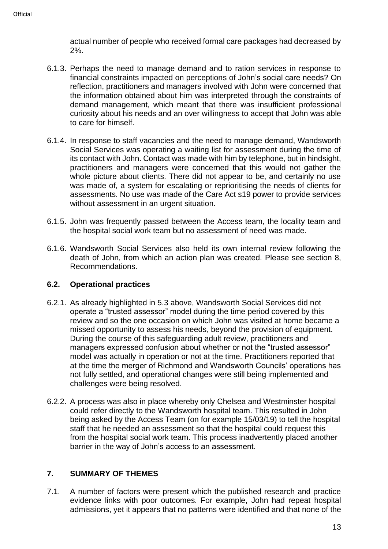actual number of people who received formal care packages had decreased by 2%.

- 6.1.3. Perhaps the need to manage demand and to ration services in response to financial constraints impacted on perceptions of John's social care needs? On reflection, practitioners and managers involved with John were concerned that the information obtained about him was interpreted through the constraints of demand management, which meant that there was insufficient professional curiosity about his needs and an over willingness to accept that John was able to care for himself.
- 6.1.4. In response to staff vacancies and the need to manage demand, Wandsworth Social Services was operating a waiting list for assessment during the time of its contact with John. Contact was made with him by telephone, but in hindsight, practitioners and managers were concerned that this would not gather the whole picture about clients. There did not appear to be, and certainly no use was made of, a system for escalating or reprioritising the needs of clients for assessments. No use was made of the Care Act s19 power to provide services without assessment in an urgent situation.
- 6.1.5. John was frequently passed between the Access team, the locality team and the hospital social work team but no assessment of need was made.
- 6.1.6. Wandsworth Social Services also held its own internal review following the death of John, from which an action plan was created. Please see section 8, Recommendations.

#### **6.2. Operational practices**

- 6.2.1. As already highlighted in 5.3 above, Wandsworth Social Services did not operate a "trusted assessor" model during the time period covered by this review and so the one occasion on which John was visited at home became a missed opportunity to assess his needs, beyond the provision of equipment. During the course of this safeguarding adult review, practitioners and managers expressed confusion about whether or not the "trusted assessor" model was actually in operation or not at the time. Practitioners reported that at the time the merger of Richmond and Wandsworth Councils' operations has not fully settled, and operational changes were still being implemented and challenges were being resolved.
- 6.2.2. A process was also in place whereby only Chelsea and Westminster hospital could refer directly to the Wandsworth hospital team. This resulted in John being asked by the Access Team (on for example 15/03/19) to tell the hospital staff that he needed an assessment so that the hospital could request this from the hospital social work team. This process inadvertently placed another barrier in the way of John's access to an assessment.

# <span id="page-12-0"></span>**7. SUMMARY OF THEMES**

7.1. A number of factors were present which the published research and practice evidence links with poor outcomes. For example, John had repeat hospital admissions, yet it appears that no patterns were identified and that none of the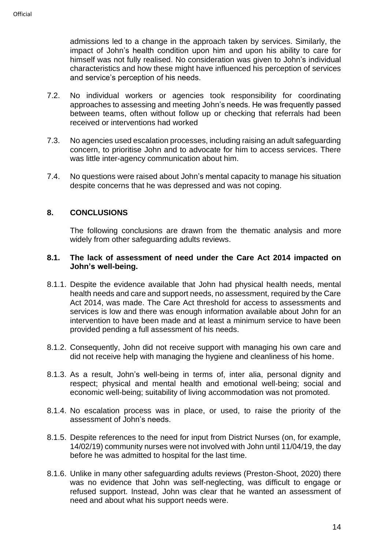admissions led to a change in the approach taken by services. Similarly, the impact of John's health condition upon him and upon his ability to care for himself was not fully realised. No consideration was given to John's individual characteristics and how these might have influenced his perception of services and service's perception of his needs.

- 7.2. No individual workers or agencies took responsibility for coordinating approaches to assessing and meeting John's needs. He was frequently passed between teams, often without follow up or checking that referrals had been received or interventions had worked
- 7.3. No agencies used escalation processes, including raising an adult safeguarding concern, to prioritise John and to advocate for him to access services. There was little inter-agency communication about him.
- 7.4. No questions were raised about John's mental capacity to manage his situation despite concerns that he was depressed and was not coping.

# <span id="page-13-0"></span>**8. CONCLUSIONS**

The following conclusions are drawn from the thematic analysis and more widely from other safeguarding adults reviews.

#### **8.1. The lack of assessment of need under the Care Act 2014 impacted on John's well-being.**

- 8.1.1. Despite the evidence available that John had physical health needs, mental health needs and care and support needs, no assessment, required by the Care Act 2014, was made. The Care Act threshold for access to assessments and services is low and there was enough information available about John for an intervention to have been made and at least a minimum service to have been provided pending a full assessment of his needs.
- 8.1.2. Consequently, John did not receive support with managing his own care and did not receive help with managing the hygiene and cleanliness of his home.
- 8.1.3. As a result, John's well-being in terms of, inter alia, personal dignity and respect; physical and mental health and emotional well-being; social and economic well-being; suitability of living accommodation was not promoted.
- 8.1.4. No escalation process was in place, or used, to raise the priority of the assessment of John's needs.
- 8.1.5. Despite references to the need for input from District Nurses (on, for example, 14/02/19) community nurses were not involved with John until 11/04/19, the day before he was admitted to hospital for the last time.
- 8.1.6. Unlike in many other safeguarding adults reviews (Preston-Shoot, 2020) there was no evidence that John was self-neglecting, was difficult to engage or refused support. Instead, John was clear that he wanted an assessment of need and about what his support needs were.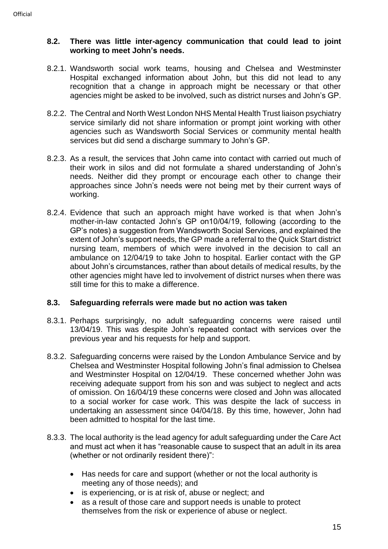# **8.2. There was little inter-agency communication that could lead to joint working to meet John's needs.**

- 8.2.1. Wandsworth social work teams, housing and Chelsea and Westminster Hospital exchanged information about John, but this did not lead to any recognition that a change in approach might be necessary or that other agencies might be asked to be involved, such as district nurses and John's GP.
- 8.2.2. The Central and North West London NHS Mental Health Trust liaison psychiatry service similarly did not share information or prompt joint working with other agencies such as Wandsworth Social Services or community mental health services but did send a discharge summary to John's GP.
- 8.2.3. As a result, the services that John came into contact with carried out much of their work in silos and did not formulate a shared understanding of John's needs. Neither did they prompt or encourage each other to change their approaches since John's needs were not being met by their current ways of working.
- 8.2.4. Evidence that such an approach might have worked is that when John's mother-in-law contacted John's GP on10/04/19, following (according to the GP's notes) a suggestion from Wandsworth Social Services, and explained the extent of John's support needs, the GP made a referral to the Quick Start district nursing team, members of which were involved in the decision to call an ambulance on 12/04/19 to take John to hospital. Earlier contact with the GP about John's circumstances, rather than about details of medical results, by the other agencies might have led to involvement of district nurses when there was still time for this to make a difference.

# **8.3. Safeguarding referrals were made but no action was taken**

- 8.3.1. Perhaps surprisingly, no adult safeguarding concerns were raised until 13/04/19. This was despite John's repeated contact with services over the previous year and his requests for help and support.
- 8.3.2. Safeguarding concerns were raised by the London Ambulance Service and by Chelsea and Westminster Hospital following John's final admission to Chelsea and Westminster Hospital on 12/04/19. These concerned whether John was receiving adequate support from his son and was subject to neglect and acts of omission. On 16/04/19 these concerns were closed and John was allocated to a social worker for case work. This was despite the lack of success in undertaking an assessment since 04/04/18. By this time, however, John had been admitted to hospital for the last time.
- 8.3.3. The local authority is the lead agency for adult safeguarding under the Care Act and must act when it has "reasonable cause to suspect that an adult in its area (whether or not ordinarily resident there)":
	- Has needs for care and support (whether or not the local authority is meeting any of those needs); and
	- is experiencing, or is at risk of, abuse or neglect; and
	- as a result of those care and support needs is unable to protect themselves from the risk or experience of abuse or neglect.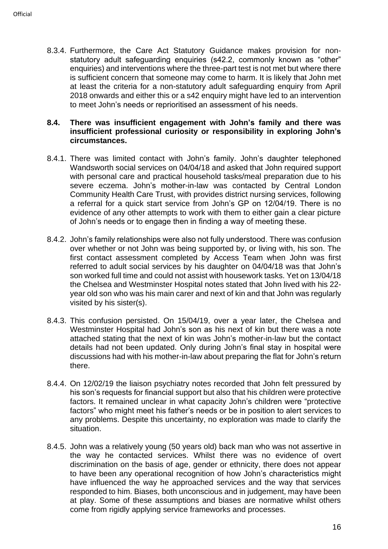8.3.4. Furthermore, the Care Act Statutory Guidance makes provision for nonstatutory adult safeguarding enquiries (s42.2, commonly known as "other" enquiries) and interventions where the three-part test is not met but where there is sufficient concern that someone may come to harm. It is likely that John met at least the criteria for a non-statutory adult safeguarding enquiry from April 2018 onwards and either this or a s42 enquiry might have led to an intervention to meet John's needs or reprioritised an assessment of his needs.

#### **8.4. There was insufficient engagement with John's family and there was insufficient professional curiosity or responsibility in exploring John's circumstances.**

- 8.4.1. There was limited contact with John's family. John's daughter telephoned Wandsworth social services on 04/04/18 and asked that John required support with personal care and practical household tasks/meal preparation due to his severe eczema. John's mother-in-law was contacted by Central London Community Health Care Trust, with provides district nursing services, following a referral for a quick start service from John's GP on 12/04/19. There is no evidence of any other attempts to work with them to either gain a clear picture of John's needs or to engage then in finding a way of meeting these.
- 8.4.2. John's family relationships were also not fully understood. There was confusion over whether or not John was being supported by, or living with, his son. The first contact assessment completed by Access Team when John was first referred to adult social services by his daughter on 04/04/18 was that John's son worked full time and could not assist with housework tasks. Yet on 13/04/18 the Chelsea and Westminster Hospital notes stated that John lived with his 22 year old son who was his main carer and next of kin and that John was regularly visited by his sister(s).
- 8.4.3. This confusion persisted. On 15/04/19, over a year later, the Chelsea and Westminster Hospital had John's son as his next of kin but there was a note attached stating that the next of kin was John's mother-in-law but the contact details had not been updated. Only during John's final stay in hospital were discussions had with his mother-in-law about preparing the flat for John's return there.
- 8.4.4. On 12/02/19 the liaison psychiatry notes recorded that John felt pressured by his son's requests for financial support but also that his children were protective factors. It remained unclear in what capacity John's children were "protective factors" who might meet his father's needs or be in position to alert services to any problems. Despite this uncertainty, no exploration was made to clarify the situation.
- 8.4.5. John was a relatively young (50 years old) back man who was not assertive in the way he contacted services. Whilst there was no evidence of overt discrimination on the basis of age, gender or ethnicity, there does not appear to have been any operational recognition of how John's characteristics might have influenced the way he approached services and the way that services responded to him. Biases, both unconscious and in judgement, may have been at play. Some of these assumptions and biases are normative whilst others come from rigidly applying service frameworks and processes.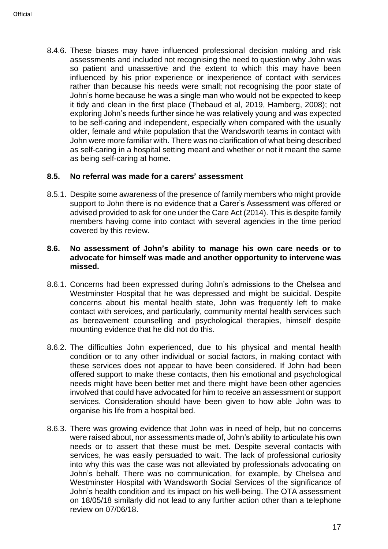8.4.6. These biases may have influenced professional decision making and risk assessments and included not recognising the need to question why John was so patient and unassertive and the extent to which this may have been influenced by his prior experience or inexperience of contact with services rather than because his needs were small; not recognising the poor state of John's home because he was a single man who would not be expected to keep it tidy and clean in the first place (Thebaud et al, 2019, Hamberg, 2008); not exploring John's needs further since he was relatively young and was expected to be self-caring and independent, especially when compared with the usually older, female and white population that the Wandsworth teams in contact with John were more familiar with. There was no clarification of what being described as self-caring in a hospital setting meant and whether or not it meant the same as being self-caring at home.

# **8.5. No referral was made for a carers' assessment**

8.5.1. Despite some awareness of the presence of family members who might provide support to John there is no evidence that a Carer's Assessment was offered or advised provided to ask for one under the Care Act (2014). This is despite family members having come into contact with several agencies in the time period covered by this review.

#### **8.6. No assessment of John's ability to manage his own care needs or to advocate for himself was made and another opportunity to intervene was missed.**

- 8.6.1. Concerns had been expressed during John's admissions to the Chelsea and Westminster Hospital that he was depressed and might be suicidal. Despite concerns about his mental health state, John was frequently left to make contact with services, and particularly, community mental health services such as bereavement counselling and psychological therapies, himself despite mounting evidence that he did not do this.
- 8.6.2. The difficulties John experienced, due to his physical and mental health condition or to any other individual or social factors, in making contact with these services does not appear to have been considered. If John had been offered support to make these contacts, then his emotional and psychological needs might have been better met and there might have been other agencies involved that could have advocated for him to receive an assessment or support services. Consideration should have been given to how able John was to organise his life from a hospital bed.
- 8.6.3. There was growing evidence that John was in need of help, but no concerns were raised about, nor assessments made of, John's ability to articulate his own needs or to assert that these must be met. Despite several contacts with services, he was easily persuaded to wait. The lack of professional curiosity into why this was the case was not alleviated by professionals advocating on John's behalf. There was no communication, for example, by Chelsea and Westminster Hospital with Wandsworth Social Services of the significance of John's health condition and its impact on his well-being. The OTA assessment on 18/05/18 similarly did not lead to any further action other than a telephone review on 07/06/18.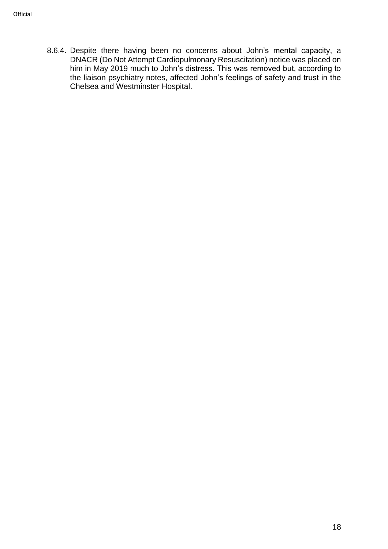8.6.4. Despite there having been no concerns about John's mental capacity, a DNACR (Do Not Attempt Cardiopulmonary Resuscitation) notice was placed on him in May 2019 much to John's distress. This was removed but, according to the liaison psychiatry notes, affected John's feelings of safety and trust in the Chelsea and Westminster Hospital.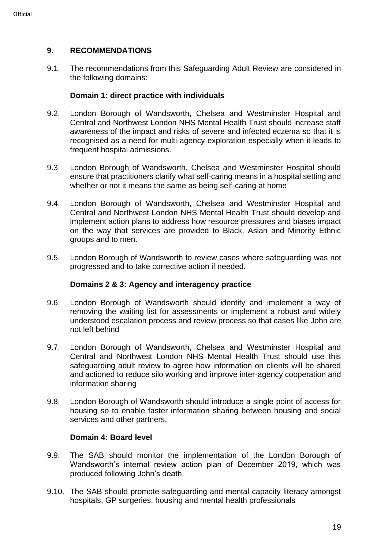# <span id="page-18-0"></span>**9. RECOMMENDATIONS**

9.1. The recommendations from this Safeguarding Adult Review are considered in the following domains:

#### **Domain 1: direct practice with individuals**

- 9.2. London Borough of Wandsworth, Chelsea and Westminster Hospital and Central and Northwest London NHS Mental Health Trust should increase staff awareness of the impact and risks of severe and infected eczema so that it is recognised as a need for multi-agency exploration especially when it leads to frequent hospital admissions.
- 9.3. London Borough of Wandsworth, Chelsea and Westminster Hospital should ensure that practitioners clarify what self-caring means in a hospital setting and whether or not it means the same as being self-caring at home
- 9.4. London Borough of Wandsworth, Chelsea and Westminster Hospital and Central and Northwest London NHS Mental Health Trust should develop and implement action plans to address how resource pressures and biases impact on the way that services are provided to Black, Asian and Minority Ethnic groups and to men.
- 9.5. London Borough of Wandsworth to review cases where safeguarding was not progressed and to take corrective action if needed.

# **Domains 2 & 3: Agency and interagency practice**

- 9.6. London Borough of Wandsworth should identify and implement a way of removing the waiting list for assessments or implement a robust and widely understood escalation process and review process so that cases like John are not left behind
- 9.7. London Borough of Wandsworth, Chelsea and Westminster Hospital and Central and Northwest London NHS Mental Health Trust should use this safeguarding adult review to agree how information on clients will be shared and actioned to reduce silo working and improve inter-agency cooperation and information sharing
- 9.8. London Borough of Wandsworth should introduce a single point of access for housing so to enable faster information sharing between housing and social services and other partners.

#### **Domain 4: Board level**

- 9.9. The SAB should monitor the implementation of the London Borough of Wandsworth's internal review action plan of December 2019, which was produced following John's death.
- <span id="page-18-1"></span>9.10. The SAB should promote safeguarding and mental capacity literacy amongst hospitals, GP surgeries, housing and mental health professionals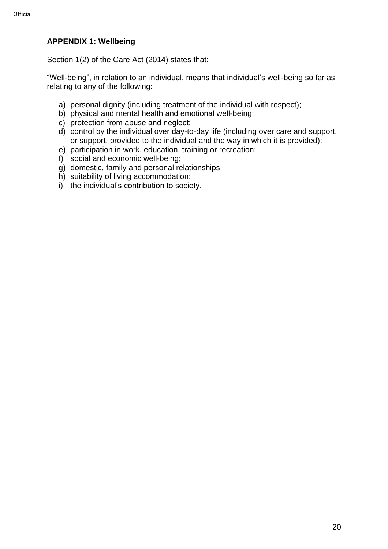# **APPENDIX 1: Wellbeing**

Section 1(2) of the Care Act (2014) states that:

"Well-being", in relation to an individual, means that individual's well-being so far as relating to any of the following:

- a) personal dignity (including treatment of the individual with respect);
- b) physical and mental health and emotional well-being;
- c) protection from abuse and neglect;
- d) control by the individual over day-to-day life (including over care and support, or support, provided to the individual and the way in which it is provided);
- e) participation in work, education, training or recreation;
- f) social and economic well-being;
- g) domestic, family and personal relationships;
- h) suitability of living accommodation;
- i) the individual's contribution to society.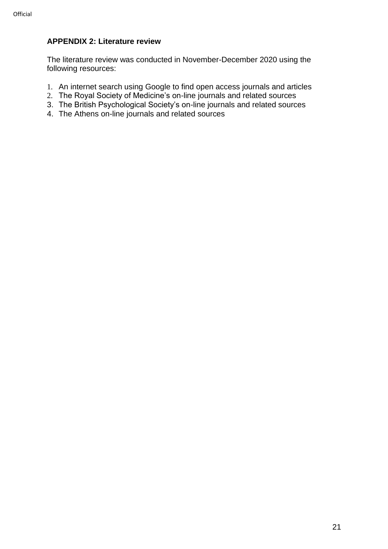# <span id="page-20-0"></span>**APPENDIX 2: Literature review**

The literature review was conducted in November-December 2020 using the following resources:

- 1. An internet search using Google to find open access journals and articles
- 2. The Royal Society of Medicine's on-line journals and related sources
- 3. The British Psychological Society's on-line journals and related sources
- 4. The Athens on-line journals and related sources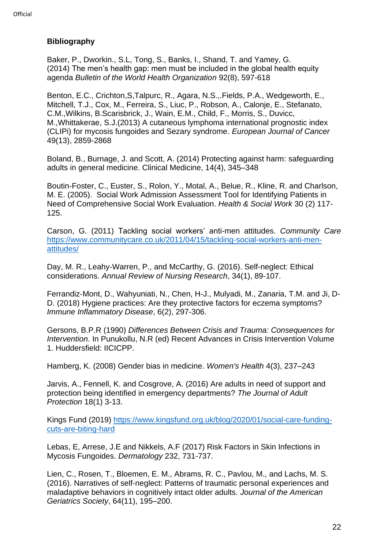# <span id="page-21-0"></span>**Bibliography**

Baker, P., Dworkin., S.L, Tong, S., Banks, I., Shand, T. and Yamey, G. (2014) The men's health gap: men must be included in the global health equity agenda *Bulletin of the World Health Organization* 92(8), 597-618

Benton, E.C., Crichton,S,Talpurc, R., Agara, N.S.,.Fields, P.A., Wedgeworth, E., Mitchell, T.J., Cox, M., Ferreira, S., Liuc, P., Robson, A., Calonje, E., Stefanato, C.M.,Wilkins, B.Scarisbrick, J., Wain, E.M., Child, F., Morris, S., Duvicc, M.,Whittakerae, S.J.(2013) A cutaneous lymphoma international prognostic index (CLIPi) for mycosis fungoides and Sezary syndrome. *European Journal of Cancer* 49(13), 2859-2868

Boland, B., Burnage, J. and Scott, A. (2014) Protecting against harm: safeguarding adults in general medicine. Clinical Medicine, 14(4), 345–348

Boutin-Foster, C., Euster, S., Rolon, Y., Motal, A., Belue, R., Kline, R. and Charlson, M. E. (2005). Social Work Admission Assessment Tool for Identifying Patients in Need of Comprehensive Social Work Evaluation. *Health & Social Work* 30 (2) 117- 125.

Carson, G. (2011) Tackling social workers' anti-men attitudes. *Community Care* [https://www.communitycare.co.uk/2011/04/15/tackling-social-workers-anti-men](https://www.communitycare.co.uk/2011/04/15/tackling-social-workers-anti-men-attitudes/)[attitudes/](https://www.communitycare.co.uk/2011/04/15/tackling-social-workers-anti-men-attitudes/)

Day, M. R., Leahy-Warren, P., and McCarthy, G. (2016). Self-neglect: Ethical considerations. *Annual Review of Nursing Research*, 34(1), 89-107.

Ferrandiz‐Mont, D., Wahyuniati, N., Chen, H-J., Mulyadi, M., Zanaria, T.M. and Ji, D-D. (2018) Hygiene practices: Are they protective factors for eczema symptoms? *Immune Inflammatory Disease*, 6(2), 297-306.

Gersons, B.P.R (1990) *Differences Between Crisis and Trauma: Consequences for Intervention*. In Punukollu, N.R (ed) Recent Advances in Crisis Intervention Volume 1. Huddersfield: IICICPP.

Hamberg, K. (2008) Gender bias in medicine. *Women's Health* 4(3), 237–243

Jarvis, A., Fennell, K. and Cosgrove, A. (2016) Are adults in need of support and protection being identified in emergency departments? *The Journal of Adult Protection* 18(1) 3-13.

Kings Fund (2019) [https://www.kingsfund.org.uk/blog/2020/01/social-care-funding](https://www.kingsfund.org.uk/blog/2020/01/social-care-funding-cuts-are-biting-hard)[cuts-are-biting-hard](https://www.kingsfund.org.uk/blog/2020/01/social-care-funding-cuts-are-biting-hard)

Lebas, E, Arrese, J.E and Nikkels, A.F (2017) Risk Factors in Skin Infections in Mycosis Fungoides. *Dermatology* 232, 731-737.

Lien, C., Rosen, T., Bloemen, E. M., Abrams, R. C., Pavlou, M., and Lachs, M. S. (2016). Narratives of self‐neglect: Patterns of traumatic personal experiences and maladaptive behaviors in cognitively intact older adults. *Journal of the American Geriatrics Society*, 64(11), 195–200.